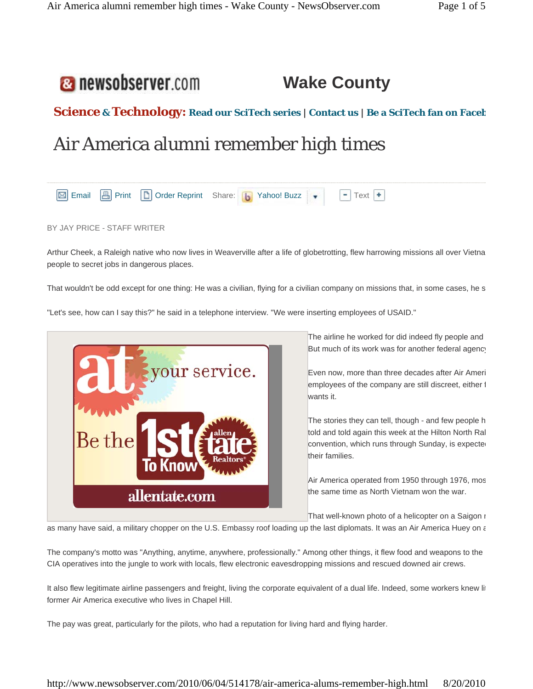## **a** newsobserver.com **Wake County**

# **Science & Technology: Read our SciTech series | Contact us | Be a SciTech fan on Faceb**

# Air America alumni remember high times



BY JAY PRICE - STAFF WRITER

Arthur Cheek, a Raleigh native who now lives in Weaverville after a life of globetrotting, flew harrowing missions all over Vietna people to secret jobs in dangerous places.

That wouldn't be odd except for one thing: He was a civilian, flying for a civilian company on missions that, in some cases, he s

"Let's see, how can I say this?" he said in a telephone interview. "We were inserting employees of USAID."



The airline he worked for did indeed fly people and But much of its work was for another federal agency

Even now, more than three decades after Air Ameri employees of the company are still discreet, either f wants it.

The stories they can tell, though - and few people h told and told again this week at the Hilton North Ral convention, which runs through Sunday, is expected their families.

Air America operated from 1950 through 1976, mos the same time as North Vietnam won the war.

That well-known photo of a helicopter on a Saigon r

as many have said, a military chopper on the U.S. Embassy roof loading up the last diplomats. It was an Air America Huey on a

The company's motto was "Anything, anytime, anywhere, professionally." Among other things, it flew food and weapons to the CIA operatives into the jungle to work with locals, flew electronic eavesdropping missions and rescued downed air crews.

It also flew legitimate airline passengers and freight, living the corporate equivalent of a dual life. Indeed, some workers knew lit former Air America executive who lives in Chapel Hill.

The pay was great, particularly for the pilots, who had a reputation for living hard and flying harder.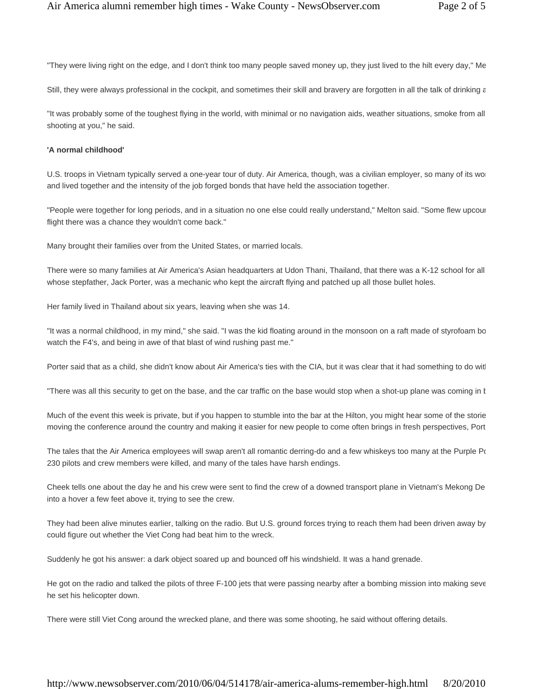"They were living right on the edge, and I don't think too many people saved money up, they just lived to the hilt every day," Me

Still, they were always professional in the cockpit, and sometimes their skill and bravery are forgotten in all the talk of drinking a

"It was probably some of the toughest flying in the world, with minimal or no navigation aids, weather situations, smoke from all shooting at you," he said.

#### **'A normal childhood'**

U.S. troops in Vietnam typically served a one-year tour of duty. Air America, though, was a civilian employer, so many of its wor and lived together and the intensity of the job forged bonds that have held the association together.

"People were together for long periods, and in a situation no one else could really understand," Melton said. "Some flew upcoun flight there was a chance they wouldn't come back."

Many brought their families over from the United States, or married locals.

There were so many families at Air America's Asian headquarters at Udon Thani, Thailand, that there was a K-12 school for all whose stepfather, Jack Porter, was a mechanic who kept the aircraft flying and patched up all those bullet holes.

Her family lived in Thailand about six years, leaving when she was 14.

"It was a normal childhood, in my mind," she said. "I was the kid floating around in the monsoon on a raft made of styrofoam bo watch the F4's, and being in awe of that blast of wind rushing past me."

Porter said that as a child, she didn't know about Air America's ties with the CIA, but it was clear that it had something to do with

"There was all this security to get on the base, and the car traffic on the base would stop when a shot-up plane was coming in t

Much of the event this week is private, but if you happen to stumble into the bar at the Hilton, you might hear some of the storie moving the conference around the country and making it easier for new people to come often brings in fresh perspectives, Port

The tales that the Air America employees will swap aren't all romantic derring-do and a few whiskeys too many at the Purple  $P($ 230 pilots and crew members were killed, and many of the tales have harsh endings.

Cheek tells one about the day he and his crew were sent to find the crew of a downed transport plane in Vietnam's Mekong De into a hover a few feet above it, trying to see the crew.

They had been alive minutes earlier, talking on the radio. But U.S. ground forces trying to reach them had been driven away by could figure out whether the Viet Cong had beat him to the wreck.

Suddenly he got his answer: a dark object soared up and bounced off his windshield. It was a hand grenade.

He got on the radio and talked the pilots of three F-100 jets that were passing nearby after a bombing mission into making seve he set his helicopter down.

There were still Viet Cong around the wrecked plane, and there was some shooting, he said without offering details.